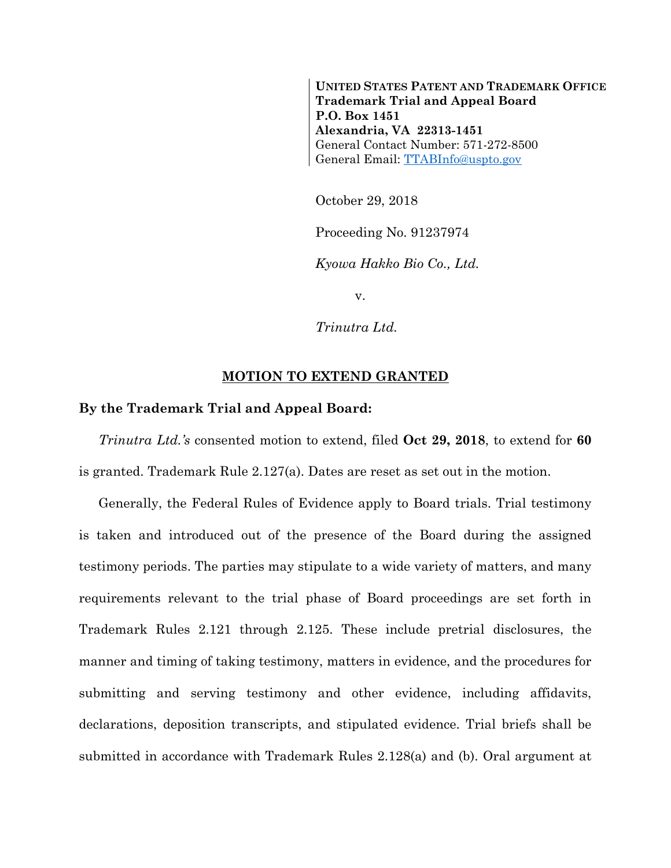**UNITED STATES PATENT AND TRADEMARK OFFICE Trademark Trial and Appeal Board P.O. Box 1451 Alexandria, VA 22313-1451** General Contact Number: 571-272-8500 General Email: [TTABInfo@uspto.gov](mailto:TTABInfo@uspto.gov)

October 29, 2018

Proceeding No. 91237974

*Kyowa Hakko Bio Co., Ltd.*

v.

*Trinutra Ltd.*

## **MOTION TO EXTEND GRANTED**

## **By the Trademark Trial and Appeal Board:**

*Trinutra Ltd.'s* consented motion to extend, filed **Oct 29, 2018**, to extend for **60** is granted. Trademark Rule 2.127(a). Dates are reset as set out in the motion.

Generally, the Federal Rules of Evidence apply to Board trials. Trial testimony is taken and introduced out of the presence of the Board during the assigned testimony periods. The parties may stipulate to a wide variety of matters, and many requirements relevant to the trial phase of Board proceedings are set forth in Trademark Rules 2.121 through 2.125. These include pretrial disclosures, the manner and timing of taking testimony, matters in evidence, and the procedures for submitting and serving testimony and other evidence, including affidavits, declarations, deposition transcripts, and stipulated evidence. Trial briefs shall be submitted in accordance with Trademark Rules 2.128(a) and (b). Oral argument at